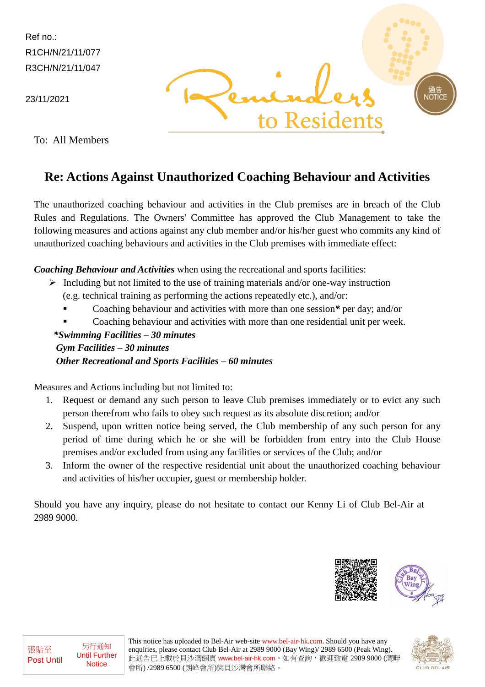Ref no.: R1CH/N/21/11/077 R3CH/N/21/11/047

23/11/2021

To: All Members

# **JOTIC** Residents

### **Re: Actions Against Unauthorized Coaching Behaviour and Activities**

The unauthorized coaching behaviour and activities in the Club premises are in breach of the Club Rules and Regulations. The Owners' Committee has approved the Club Management to take the following measures and actions against any club member and/or his/her guest who commits any kind of unauthorized coaching behaviours and activities in the Club premises with immediate effect:

#### *Coaching Behaviour and Activities* when using the recreational and sports facilities:

- $\triangleright$  Including but not limited to the use of training materials and/or one-way instruction
	- (e.g. technical training as performing the actions repeatedly etc.), and/or:
	- Coaching behaviour and activities with more than one session*\** per day; and/or
	- Coaching behaviour and activities with more than one residential unit per week.

#### *\*Swimming Facilities – 30 minutes Gym Facilities – 30 minutes*

#### *Other Recreational and Sports Facilities – 60 minutes*

Measures and Actions including but not limited to:

- 1. Request or demand any such person to leave Club premises immediately or to evict any such person therefrom who fails to obey such request as its absolute discretion; and/or
- 2. Suspend, upon written notice being served, the Club membership of any such person for any period of time during which he or she will be forbidden from entry into the Club House premises and/or excluded from using any facilities or services of the Club; and/or
- 3. Inform the owner of the respective residential unit about the unauthorized coaching behaviour and activities of his/her occupier, guest or membership holder.

Should you have any inquiry, please do not hesitate to contact our Kenny Li of Club Bel-Air at 2989 9000.





張貼至